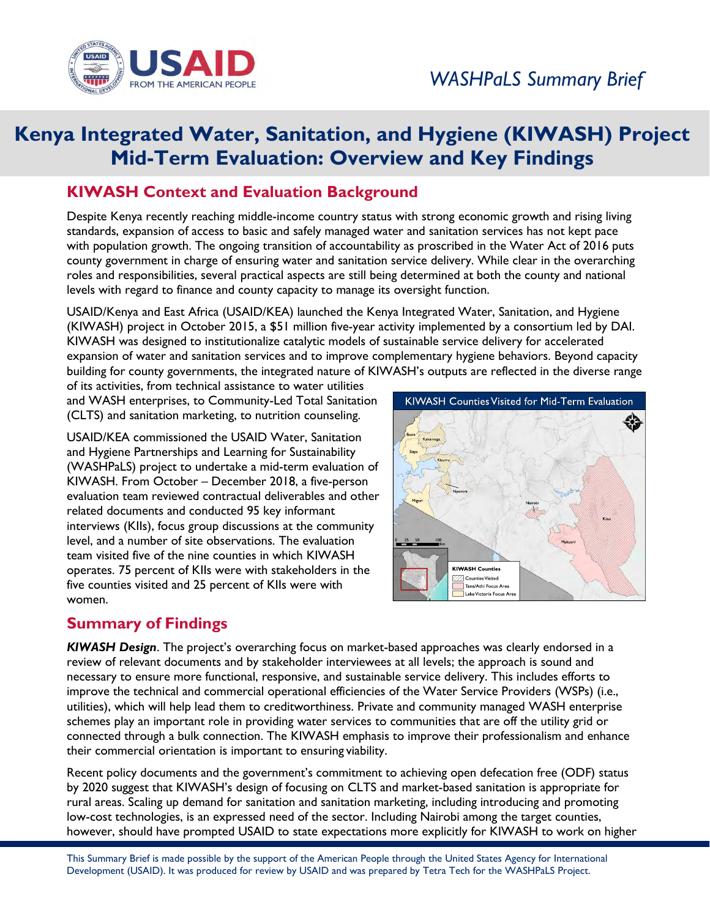

## **Kenya Integrated Water, Sanitation, and Hygiene (KIWASH) Project Mid-Term Evaluation: Overview and Key Findings**

## **KIWASH Context and Evaluation Background**

Despite Kenya recently reaching middle-income country status with strong economic growth and rising living standards, expansion of access to basic and safely managed water and sanitation services has not kept pace with population growth. The ongoing transition of accountability as proscribed in the Water Act of 2016 puts county government in charge of ensuring water and sanitation service delivery. While clear in the overarching roles and responsibilities, several practical aspects are still being determined at both the county and national levels with regard to finance and county capacity to manage its oversight function.

USAID/Kenya and East Africa (USAID/KEA) launched the Kenya Integrated Water, Sanitation, and Hygiene (KIWASH) project in October 2015, a \$51 million five-year activity implemented by a consortium led by DAI. KIWASH was designed to institutionalize catalytic models of sustainable service delivery for accelerated expansion of water and sanitation services and to improve complementary hygiene behaviors. Beyond capacity building for county governments, the integrated nature of KIWASH's outputs are reflected in the diverse range

of its activities, from technical assistance to water utilities and WASH enterprises, to Community-Led Total Sanitation (CLTS) and sanitation marketing, to nutrition counseling.

USAID/KEA commissioned the USAID Water, Sanitation and Hygiene Partnerships and Learning for Sustainability (WASHPaLS) project to undertake a mid-term evaluation of KIWASH. From October – December 2018, a five-person evaluation team reviewed contractual deliverables and other related documents and conducted 95 key informant interviews (KIIs), focus group discussions at the community level, and a number of site observations. The evaluation team visited five of the nine counties in which KIWASH operates. 75 percent of KIIs were with stakeholders in the five counties visited and 25 percent of KIIs were with women.

## **Summary of Findings**



*KIWASH Design*. The project's overarching focus on market-based approaches was clearly endorsed in a review of relevant documents and by stakeholder interviewees at all levels; the approach is sound and necessary to ensure more functional, responsive, and sustainable service delivery. This includes efforts to improve the technical and commercial operational efficiencies of the Water Service Providers (WSPs) (i.e., utilities), which will help lead them to creditworthiness. Private and community managed WASH enterprise schemes play an important role in providing water services to communities that are off the utility grid or connected through a bulk connection. The KIWASH emphasis to improve their professionalism and enhance their commercial orientation is important to ensuring viability.

Recent policy documents and the government's commitment to achieving open defecation free (ODF) status by 2020 suggest that KIWASH's design of focusing on CLTS and market-based sanitation is appropriate for rural areas. Scaling up demand for sanitation and sanitation marketing, including introducing and promoting low-cost technologies, is an expressed need of the sector. Including Nairobi among the target counties, however, should have prompted USAID to state expectations more explicitly for KIWASH to work on higher

This Summary Brief is made possible by the support of the American People through the United States Agency for International Development (USAID). It was produced for review by USAID and was prepared by Tetra Tech for the WASHPaLS Project.